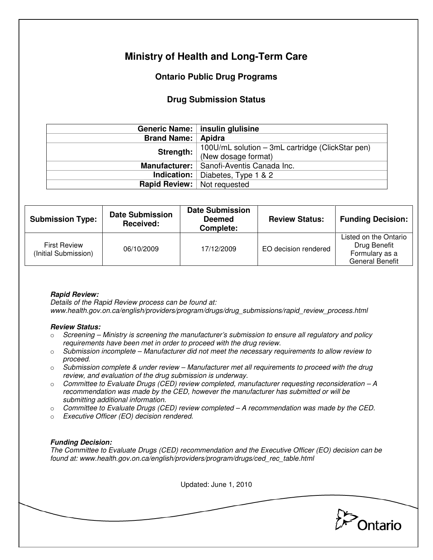# **Ministry of Health and Long-Term Care**

## **Ontario Public Drug Programs**

### **Drug Submission Status**

|                                    | Generic Name:   insulin glulisine                                       |  |
|------------------------------------|-------------------------------------------------------------------------|--|
| Brand Name:   Apidra               |                                                                         |  |
| Strength:                          | 100U/mL solution – 3mL cartridge (ClickStar pen)<br>(New dosage format) |  |
|                                    | Manufacturer:   Sanofi-Aventis Canada Inc.                              |  |
|                                    | <b>Indication:</b> Diabetes, Type 1 $\&$ 2                              |  |
| <b>Rapid Review:</b> Not requested |                                                                         |  |

| <b>Submission Type:</b>                     | <b>Date Submission</b><br>Received: | <b>Date Submission</b><br><b>Deemed</b><br>Complete: | <b>Review Status:</b> | <b>Funding Decision:</b>                                                          |
|---------------------------------------------|-------------------------------------|------------------------------------------------------|-----------------------|-----------------------------------------------------------------------------------|
| <b>First Review</b><br>(Initial Submission) | 06/10/2009                          | 17/12/2009                                           | EO decision rendered  | Listed on the Ontario<br>Drug Benefit<br>Formulary as a<br><b>General Benefit</b> |

### **Rapid Review:**

Details of the Rapid Review process can be found at: www.health.gov.on.ca/english/providers/program/drugs/drug\_submissions/rapid\_review\_process.html

#### **Review Status:**

- $\circ$  Screening Ministry is screening the manufacturer's submission to ensure all regulatory and policy requirements have been met in order to proceed with the drug review.
- $\circ$  Submission incomplete Manufacturer did not meet the necessary requirements to allow review to proceed.
- $\circ$  Submission complete & under review Manufacturer met all requirements to proceed with the drug review, and evaluation of the drug submission is underway.
- $\circ$  Committee to Evaluate Drugs (CED) review completed, manufacturer requesting reconsideration  $-A$ recommendation was made by the CED, however the manufacturer has submitted or will be submitting additional information.
- $\circ$  Committee to Evaluate Drugs (CED) review completed A recommendation was made by the CED.
- o Executive Officer (EO) decision rendered.

### **Funding Decision:**

The Committee to Evaluate Drugs (CED) recommendation and the Executive Officer (EO) decision can be found at: www.health.gov.on.ca/english/providers/program/drugs/ced\_rec\_table.html

Updated: June 1, 2010 Ontario